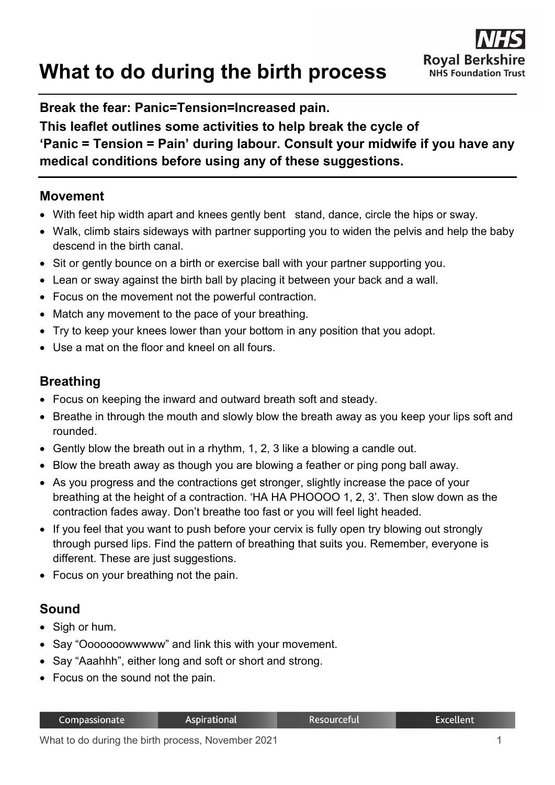# **What to do during the birth process**

#### **Break the fear: Panic=Tension=Increased pain.**

## **This leaflet outlines some activities to help break the cycle of 'Panic = Tension = Pain' during labour. Consult your midwife if you have any medical conditions before using any of these suggestions.**

#### **Movement**

- With feet hip width apart and knees gently bent stand, dance, circle the hips or sway.
- Walk, climb stairs sideways with partner supporting you to widen the pelvis and help the baby descend in the birth canal.
- Sit or gently bounce on a birth or exercise ball with your partner supporting you.
- Lean or sway against the birth ball by placing it between your back and a wall.
- Focus on the movement not the powerful contraction.
- Match any movement to the pace of your breathing.
- Try to keep your knees lower than your bottom in any position that you adopt.
- Use a mat on the floor and kneel on all fours.

## **Breathing**

- Focus on keeping the inward and outward breath soft and steady.
- Breathe in through the mouth and slowly blow the breath away as you keep your lips soft and rounded.
- Gently blow the breath out in a rhythm, 1, 2, 3 like a blowing a candle out.
- Blow the breath away as though you are blowing a feather or ping pong ball away.
- As you progress and the contractions get stronger, slightly increase the pace of your breathing at the height of a contraction. 'HA HA PHOOOO 1, 2, 3'. Then slow down as the contraction fades away. Don't breathe too fast or you will feel light headed.
- If you feel that you want to push before your cervix is fully open try blowing out strongly through pursed lips. Find the pattern of breathing that suits you. Remember, everyone is different. These are just suggestions.
- Focus on your breathing not the pain.

# **Sound**

- Sigh or hum.
- Say "Ooooooowwwww" and link this with your movement.
- Say "Aaahhh", either long and soft or short and strong.
- Focus on the sound not the pain.

| Compassionate | Aspirational | .Resourceful | <b>Excellent</b> |
|---------------|--------------|--------------|------------------|
|               |              |              |                  |